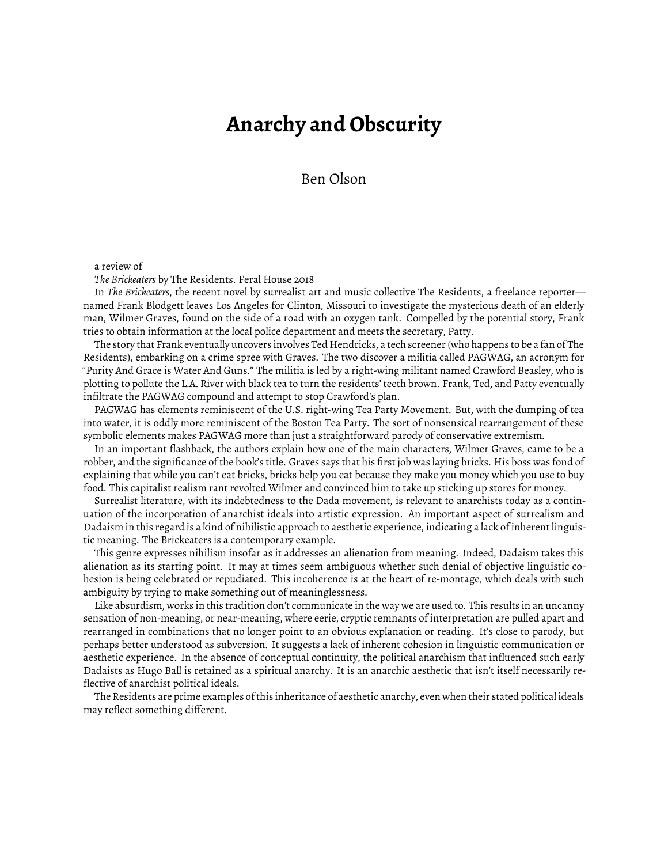## **Anarchy and Obscurity**

Ben Olson

## a review of

*The Brickeaters* by The Residents. Feral House 2018

In *The Brickeaters*, the recent novel by surrealist art and music collective The Residents, a freelance reporter named Frank Blodgett leaves Los Angeles for Clinton, Missouri to investigate the mysterious death of an elderly man, Wilmer Graves, found on the side of a road with an oxygen tank. Compelled by the potential story, Frank tries to obtain information at the local police department and meets the secretary, Patty.

The story that Frank eventually uncovers involves Ted Hendricks, a tech screener (who happens to be a fan of The Residents), embarking on a crime spree with Graves. The two discover a militia called PAGWAG, an acronym for "Purity And Grace is Water And Guns." The militia is led by a right-wing militant named Crawford Beasley, who is plotting to pollute the L.A. River with black tea to turn the residents' teeth brown. Frank, Ted, and Patty eventually infiltrate the PAGWAG compound and attempt to stop Crawford's plan.

PAGWAG has elements reminiscent of the U.S. right-wing Tea Party Movement. But, with the dumping of tea into water, it is oddly more reminiscent of the Boston Tea Party. The sort of nonsensical rearrangement of these symbolic elements makes PAGWAG more than just a straightforward parody of conservative extremism.

In an important flashback, the authors explain how one of the main characters, Wilmer Graves, came to be a robber, and the significance of the book's title. Graves says that his first job was laying bricks. His boss was fond of explaining that while you can't eat bricks, bricks help you eat because they make you money which you use to buy food. This capitalist realism rant revolted Wilmer and convinced him to take up sticking up stores for money.

Surrealist literature, with its indebtedness to the Dada movement, is relevant to anarchists today as a continuation of the incorporation of anarchist ideals into artistic expression. An important aspect of surrealism and Dadaism in this regard is a kind of nihilistic approach to aesthetic experience, indicating a lack of inherent linguistic meaning. The Brickeaters is a contemporary example.

This genre expresses nihilism insofar as it addresses an alienation from meaning. Indeed, Dadaism takes this alienation as its starting point. It may at times seem ambiguous whether such denial of objective linguistic cohesion is being celebrated or repudiated. This incoherence is at the heart of re-montage, which deals with such ambiguity by trying to make something out of meaninglessness.

Like absurdism, works in this tradition don't communicate in the way we are used to. This results in an uncanny sensation of non-meaning, or near-meaning, where eerie, cryptic remnants of interpretation are pulled apart and rearranged in combinations that no longer point to an obvious explanation or reading. It's close to parody, but perhaps better understood as subversion. It suggests a lack of inherent cohesion in linguistic communication or aesthetic experience. In the absence of conceptual continuity, the political anarchism that influenced such early Dadaists as Hugo Ball is retained as a spiritual anarchy. It is an anarchic aesthetic that isn't itself necessarily reflective of anarchist political ideals.

The Residents are prime examples of this inheritance of aesthetic anarchy, even when their stated political ideals may reflect something different.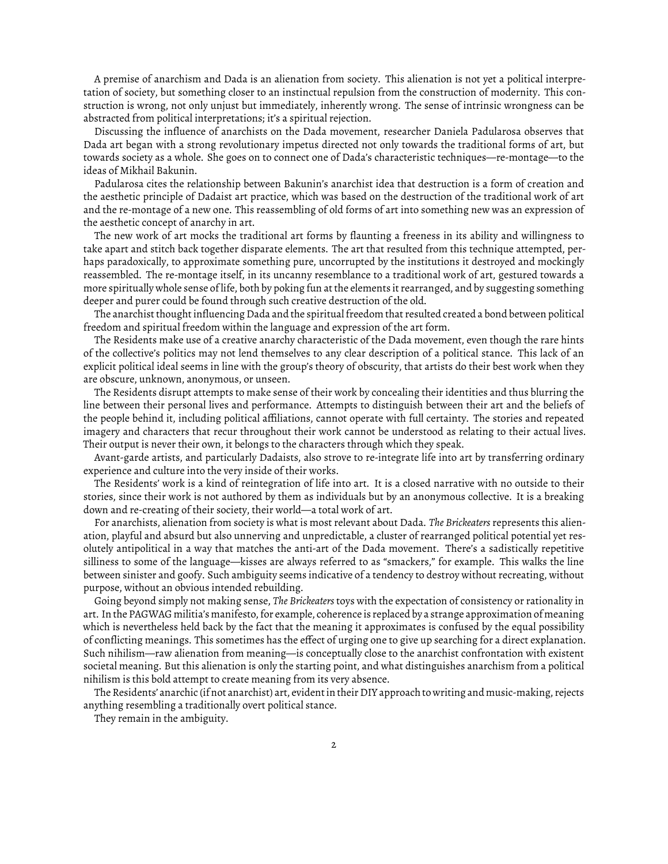A premise of anarchism and Dada is an alienation from society. This alienation is not yet a political interpretation of society, but something closer to an instinctual repulsion from the construction of modernity. This construction is wrong, not only unjust but immediately, inherently wrong. The sense of intrinsic wrongness can be abstracted from political interpretations; it's a spiritual rejection.

Discussing the influence of anarchists on the Dada movement, researcher Daniela Padularosa observes that Dada art began with a strong revolutionary impetus directed not only towards the traditional forms of art, but towards society as a whole. She goes on to connect one of Dada's characteristic techniques—re-montage—to the ideas of Mikhail Bakunin.

Padularosa cites the relationship between Bakunin's anarchist idea that destruction is a form of creation and the aesthetic principle of Dadaist art practice, which was based on the destruction of the traditional work of art and the re-montage of a new one. This reassembling of old forms of art into something new was an expression of the aesthetic concept of anarchy in art.

The new work of art mocks the traditional art forms by flaunting a freeness in its ability and willingness to take apart and stitch back together disparate elements. The art that resulted from this technique attempted, perhaps paradoxically, to approximate something pure, uncorrupted by the institutions it destroyed and mockingly reassembled. The re-montage itself, in its uncanny resemblance to a traditional work of art, gestured towards a more spiritually whole sense of life, both by poking fun at the elements it rearranged, and by suggesting something deeper and purer could be found through such creative destruction of the old.

The anarchist thought influencing Dada and the spiritual freedom that resulted created a bond between political freedom and spiritual freedom within the language and expression of the art form.

The Residents make use of a creative anarchy characteristic of the Dada movement, even though the rare hints of the collective's politics may not lend themselves to any clear description of a political stance. This lack of an explicit political ideal seems in line with the group's theory of obscurity, that artists do their best work when they are obscure, unknown, anonymous, or unseen.

The Residents disrupt attempts to make sense of their work by concealing their identities and thus blurring the line between their personal lives and performance. Attempts to distinguish between their art and the beliefs of the people behind it, including political affiliations, cannot operate with full certainty. The stories and repeated imagery and characters that recur throughout their work cannot be understood as relating to their actual lives. Their output is never their own, it belongs to the characters through which they speak.

Avant-garde artists, and particularly Dadaists, also strove to re-integrate life into art by transferring ordinary experience and culture into the very inside of their works.

The Residents' work is a kind of reintegration of life into art. It is a closed narrative with no outside to their stories, since their work is not authored by them as individuals but by an anonymous collective. It is a breaking down and re-creating of their society, their world—a total work of art.

For anarchists, alienation from society is what is most relevant about Dada. *The Brickeaters*represents this alienation, playful and absurd but also unnerving and unpredictable, a cluster of rearranged political potential yet resolutely antipolitical in a way that matches the anti-art of the Dada movement. There's a sadistically repetitive silliness to some of the language—kisses are always referred to as "smackers," for example. This walks the line between sinister and goofy. Such ambiguity seems indicative of a tendency to destroy without recreating, without purpose, without an obvious intended rebuilding.

Going beyond simply not making sense, *The Brickeaters* toys with the expectation of consistency or rationality in art. In the PAGWAG militia's manifesto, for example, coherence is replaced by a strange approximation of meaning which is nevertheless held back by the fact that the meaning it approximates is confused by the equal possibility of conflicting meanings. This sometimes has the effect of urging one to give up searching for a direct explanation. Such nihilism—raw alienation from meaning—is conceptually close to the anarchist confrontation with existent societal meaning. But this alienation is only the starting point, and what distinguishes anarchism from a political nihilism is this bold attempt to create meaning from its very absence.

The Residents' anarchic (if not anarchist) art, evident in their DIY approach to writing and music-making, rejects anything resembling a traditionally overt political stance.

They remain in the ambiguity.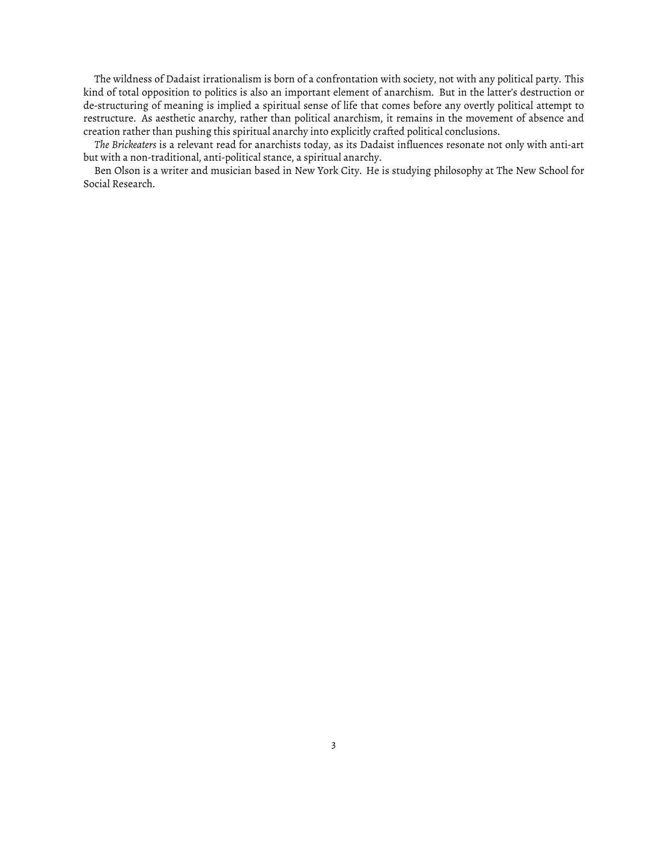The wildness of Dadaist irrationalism is born of a confrontation with society, not with any political party. This kind of total opposition to politics is also an important element of anarchism. But in the latter's destruction or de-structuring of meaning is implied a spiritual sense of life that comes before any overtly political attempt to restructure. As aesthetic anarchy, rather than political anarchism, it remains in the movement of absence and creation rather than pushing this spiritual anarchy into explicitly crafted political conclusions.

*The Brickeaters* is a relevant read for anarchists today, as its Dadaist influences resonate not only with anti-art but with a non-traditional, anti-political stance, a spiritual anarchy.

Ben Olson is a writer and musician based in New York City. He is studying philosophy at The New School for Social Research.